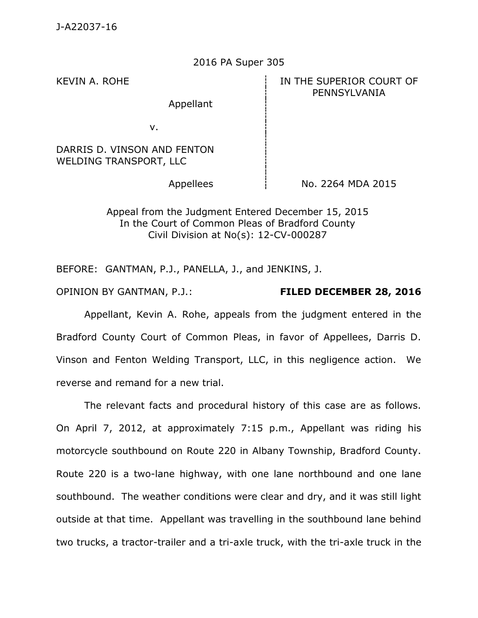## 2016 PA Super 305

Appellant

## KEVIN A. ROHE **IN THE SUPERIOR COURT OF** PENNSYLVANIA

v.

DARRIS D. VINSON AND FENTON WELDING TRANSPORT, LLC

Appellees  $\vert$  No. 2264 MDA 2015

Appeal from the Judgment Entered December 15, 2015 In the Court of Common Pleas of Bradford County Civil Division at No(s): 12-CV-000287

BEFORE: GANTMAN, P.J., PANELLA, J., and JENKINS, J.

OPINION BY GANTMAN, P.J.: **FILED DECEMBER 28, 2016**

Appellant, Kevin A. Rohe, appeals from the judgment entered in the Bradford County Court of Common Pleas, in favor of Appellees, Darris D. Vinson and Fenton Welding Transport, LLC, in this negligence action. We reverse and remand for a new trial.

The relevant facts and procedural history of this case are as follows. On April 7, 2012, at approximately 7:15 p.m., Appellant was riding his motorcycle southbound on Route 220 in Albany Township, Bradford County. Route 220 is a two-lane highway, with one lane northbound and one lane southbound. The weather conditions were clear and dry, and it was still light outside at that time. Appellant was travelling in the southbound lane behind two trucks, a tractor-trailer and a tri-axle truck, with the tri-axle truck in the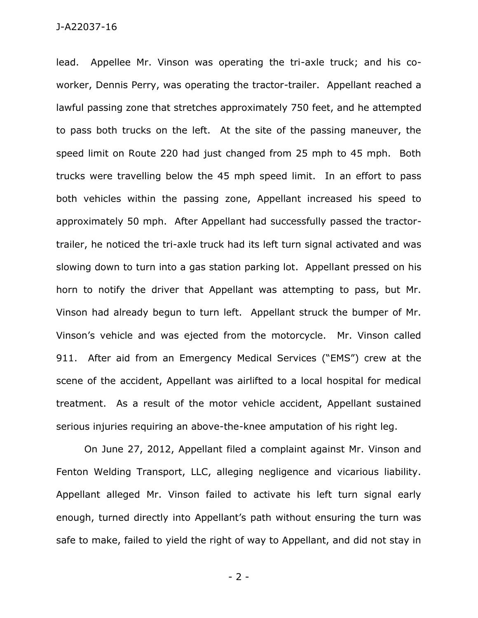## J-A22037-16

lead. Appellee Mr. Vinson was operating the tri-axle truck; and his coworker, Dennis Perry, was operating the tractor-trailer. Appellant reached a lawful passing zone that stretches approximately 750 feet, and he attempted to pass both trucks on the left. At the site of the passing maneuver, the speed limit on Route 220 had just changed from 25 mph to 45 mph. Both trucks were travelling below the 45 mph speed limit. In an effort to pass both vehicles within the passing zone, Appellant increased his speed to approximately 50 mph. After Appellant had successfully passed the tractortrailer, he noticed the tri-axle truck had its left turn signal activated and was slowing down to turn into a gas station parking lot. Appellant pressed on his horn to notify the driver that Appellant was attempting to pass, but Mr. Vinson had already begun to turn left. Appellant struck the bumper of Mr. Vinson's vehicle and was ejected from the motorcycle. Mr. Vinson called 911. After aid from an Emergency Medical Services ("EMS") crew at the scene of the accident, Appellant was airlifted to a local hospital for medical treatment. As a result of the motor vehicle accident, Appellant sustained serious injuries requiring an above-the-knee amputation of his right leg.

On June 27, 2012, Appellant filed a complaint against Mr. Vinson and Fenton Welding Transport, LLC, alleging negligence and vicarious liability. Appellant alleged Mr. Vinson failed to activate his left turn signal early enough, turned directly into Appellant's path without ensuring the turn was safe to make, failed to yield the right of way to Appellant, and did not stay in

- 2 -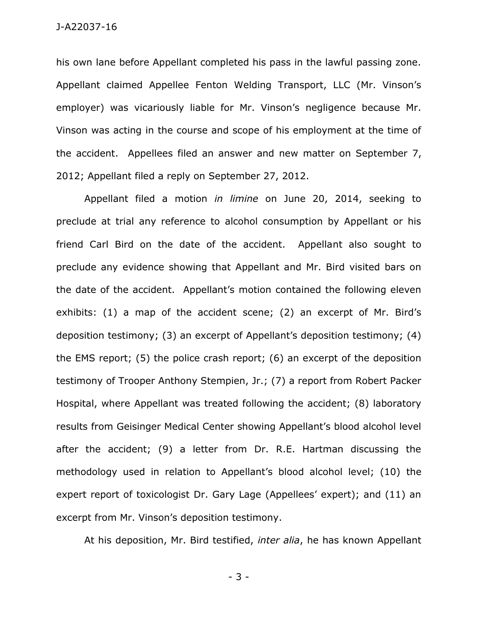his own lane before Appellant completed his pass in the lawful passing zone. Appellant claimed Appellee Fenton Welding Transport, LLC (Mr. Vinson's employer) was vicariously liable for Mr. Vinson's negligence because Mr. Vinson was acting in the course and scope of his employment at the time of the accident. Appellees filed an answer and new matter on September 7, 2012; Appellant filed a reply on September 27, 2012.

Appellant filed a motion *in limine* on June 20, 2014, seeking to preclude at trial any reference to alcohol consumption by Appellant or his friend Carl Bird on the date of the accident. Appellant also sought to preclude any evidence showing that Appellant and Mr. Bird visited bars on the date of the accident. Appellant's motion contained the following eleven exhibits: (1) a map of the accident scene; (2) an excerpt of Mr. Bird's deposition testimony; (3) an excerpt of Appellant's deposition testimony; (4) the EMS report; (5) the police crash report; (6) an excerpt of the deposition testimony of Trooper Anthony Stempien, Jr.; (7) a report from Robert Packer Hospital, where Appellant was treated following the accident; (8) laboratory results from Geisinger Medical Center showing Appellant's blood alcohol level after the accident; (9) a letter from Dr. R.E. Hartman discussing the methodology used in relation to Appellant's blood alcohol level; (10) the expert report of toxicologist Dr. Gary Lage (Appellees' expert); and (11) an excerpt from Mr. Vinson's deposition testimony.

At his deposition, Mr. Bird testified, *inter alia*, he has known Appellant

- 3 -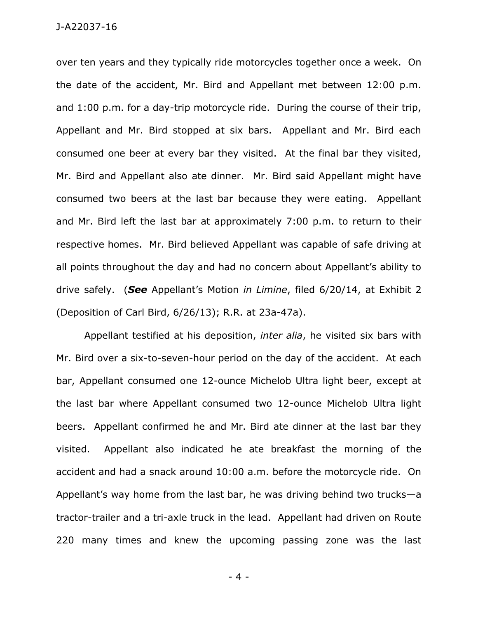over ten years and they typically ride motorcycles together once a week. On the date of the accident, Mr. Bird and Appellant met between 12:00 p.m. and 1:00 p.m. for a day-trip motorcycle ride. During the course of their trip, Appellant and Mr. Bird stopped at six bars. Appellant and Mr. Bird each consumed one beer at every bar they visited. At the final bar they visited, Mr. Bird and Appellant also ate dinner. Mr. Bird said Appellant might have consumed two beers at the last bar because they were eating. Appellant and Mr. Bird left the last bar at approximately 7:00 p.m. to return to their respective homes. Mr. Bird believed Appellant was capable of safe driving at all points throughout the day and had no concern about Appellant's ability to drive safely. (*See* Appellant's Motion *in Limine*, filed 6/20/14, at Exhibit 2 (Deposition of Carl Bird, 6/26/13); R.R. at 23a-47a).

Appellant testified at his deposition, *inter alia*, he visited six bars with Mr. Bird over a six-to-seven-hour period on the day of the accident. At each bar, Appellant consumed one 12-ounce Michelob Ultra light beer, except at the last bar where Appellant consumed two 12-ounce Michelob Ultra light beers. Appellant confirmed he and Mr. Bird ate dinner at the last bar they visited. Appellant also indicated he ate breakfast the morning of the accident and had a snack around 10:00 a.m. before the motorcycle ride. On Appellant's way home from the last bar, he was driving behind two trucks—a tractor-trailer and a tri-axle truck in the lead. Appellant had driven on Route 220 many times and knew the upcoming passing zone was the last

- 4 -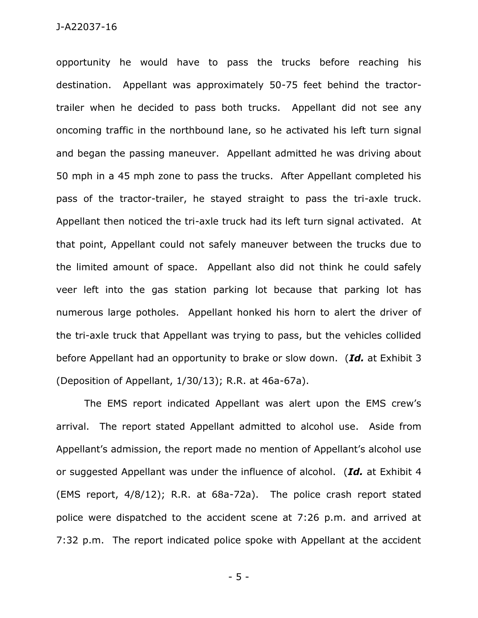opportunity he would have to pass the trucks before reaching his destination. Appellant was approximately 50-75 feet behind the tractortrailer when he decided to pass both trucks. Appellant did not see any oncoming traffic in the northbound lane, so he activated his left turn signal and began the passing maneuver. Appellant admitted he was driving about 50 mph in a 45 mph zone to pass the trucks. After Appellant completed his pass of the tractor-trailer, he stayed straight to pass the tri-axle truck. Appellant then noticed the tri-axle truck had its left turn signal activated. At that point, Appellant could not safely maneuver between the trucks due to the limited amount of space. Appellant also did not think he could safely veer left into the gas station parking lot because that parking lot has numerous large potholes. Appellant honked his horn to alert the driver of the tri-axle truck that Appellant was trying to pass, but the vehicles collided before Appellant had an opportunity to brake or slow down. (*Id.* at Exhibit 3 (Deposition of Appellant, 1/30/13); R.R. at 46a-67a).

The EMS report indicated Appellant was alert upon the EMS crew's arrival. The report stated Appellant admitted to alcohol use. Aside from Appellant's admission, the report made no mention of Appellant's alcohol use or suggested Appellant was under the influence of alcohol. (*Id.* at Exhibit 4 (EMS report, 4/8/12); R.R. at 68a-72a). The police crash report stated police were dispatched to the accident scene at 7:26 p.m. and arrived at 7:32 p.m. The report indicated police spoke with Appellant at the accident

- 5 -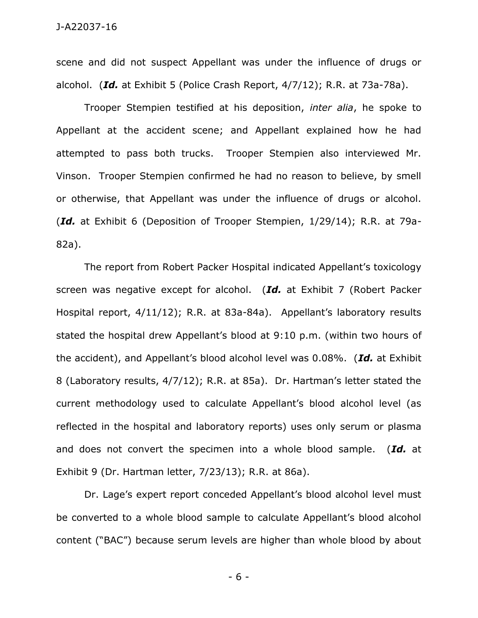scene and did not suspect Appellant was under the influence of drugs or alcohol. (*Id.* at Exhibit 5 (Police Crash Report, 4/7/12); R.R. at 73a-78a).

Trooper Stempien testified at his deposition, *inter alia*, he spoke to Appellant at the accident scene; and Appellant explained how he had attempted to pass both trucks. Trooper Stempien also interviewed Mr. Vinson. Trooper Stempien confirmed he had no reason to believe, by smell or otherwise, that Appellant was under the influence of drugs or alcohol. (*Id.* at Exhibit 6 (Deposition of Trooper Stempien, 1/29/14); R.R. at 79a-82a).

The report from Robert Packer Hospital indicated Appellant's toxicology screen was negative except for alcohol. (*Id.* at Exhibit 7 (Robert Packer Hospital report, 4/11/12); R.R. at 83a-84a). Appellant's laboratory results stated the hospital drew Appellant's blood at 9:10 p.m. (within two hours of the accident), and Appellant's blood alcohol level was 0.08%. (*Id.* at Exhibit 8 (Laboratory results, 4/7/12); R.R. at 85a). Dr. Hartman's letter stated the current methodology used to calculate Appellant's blood alcohol level (as reflected in the hospital and laboratory reports) uses only serum or plasma and does not convert the specimen into a whole blood sample. (*Id.* at Exhibit 9 (Dr. Hartman letter, 7/23/13); R.R. at 86a).

Dr. Lage's expert report conceded Appellant's blood alcohol level must be converted to a whole blood sample to calculate Appellant's blood alcohol content ("BAC") because serum levels are higher than whole blood by about

- 6 -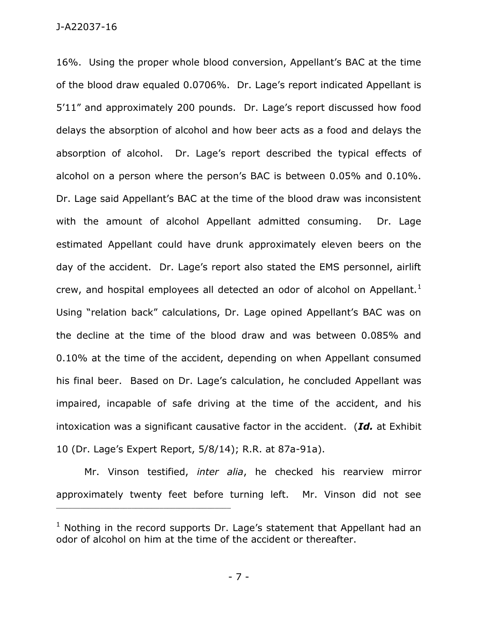J-A22037-16

16%. Using the proper whole blood conversion, Appellant's BAC at the time of the blood draw equaled 0.0706%. Dr. Lage's report indicated Appellant is 5'11" and approximately 200 pounds. Dr. Lage's report discussed how food delays the absorption of alcohol and how beer acts as a food and delays the absorption of alcohol. Dr. Lage's report described the typical effects of alcohol on a person where the person's BAC is between 0.05% and 0.10%. Dr. Lage said Appellant's BAC at the time of the blood draw was inconsistent with the amount of alcohol Appellant admitted consuming. Dr. Lage estimated Appellant could have drunk approximately eleven beers on the day of the accident. Dr. Lage's report also stated the EMS personnel, airlift crew, and hospital employees all detected an odor of alcohol on Appellant.<sup>1</sup> Using "relation back" calculations, Dr. Lage opined Appellant's BAC was on the decline at the time of the blood draw and was between 0.085% and 0.10% at the time of the accident, depending on when Appellant consumed his final beer. Based on Dr. Lage's calculation, he concluded Appellant was impaired, incapable of safe driving at the time of the accident, and his intoxication was a significant causative factor in the accident. (*Id.* at Exhibit 10 (Dr. Lage's Expert Report, 5/8/14); R.R. at 87a-91a).

Mr. Vinson testified, *inter alia*, he checked his rearview mirror approximately twenty feet before turning left. Mr. Vinson did not see

\_\_\_\_\_\_\_\_\_\_\_\_\_\_\_\_\_\_\_\_\_\_\_\_\_\_\_\_\_\_\_\_\_\_\_\_\_\_\_\_\_\_\_\_

- 7 -

 $1$  Nothing in the record supports Dr. Lage's statement that Appellant had an odor of alcohol on him at the time of the accident or thereafter.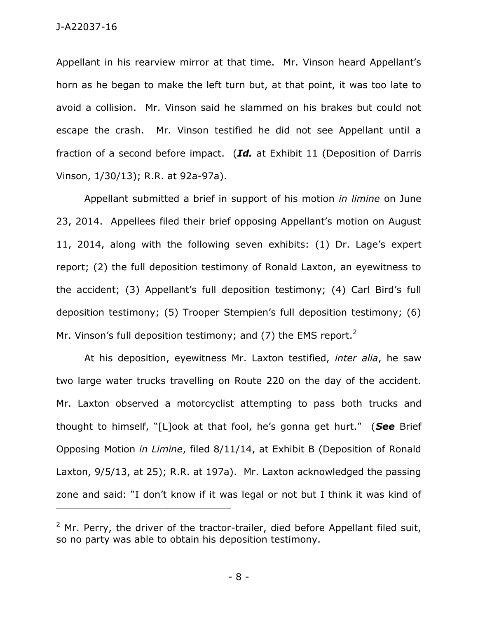Appellant in his rearview mirror at that time. Mr. Vinson heard Appellant's horn as he began to make the left turn but, at that point, it was too late to avoid a collision. Mr. Vinson said he slammed on his brakes but could not escape the crash. Mr. Vinson testified he did not see Appellant until a fraction of a second before impact. (*Id.* at Exhibit 11 (Deposition of Darris Vinson, 1/30/13); R.R. at 92a-97a).

Appellant submitted a brief in support of his motion *in limine* on June 23, 2014. Appellees filed their brief opposing Appellant's motion on August 11, 2014, along with the following seven exhibits: (1) Dr. Lage's expert report; (2) the full deposition testimony of Ronald Laxton, an eyewitness to the accident; (3) Appellant's full deposition testimony; (4) Carl Bird's full deposition testimony; (5) Trooper Stempien's full deposition testimony; (6) Mr. Vinson's full deposition testimony; and (7) the EMS report.<sup>2</sup>

At his deposition, eyewitness Mr. Laxton testified, *inter alia*, he saw two large water trucks travelling on Route 220 on the day of the accident. Mr. Laxton observed a motorcyclist attempting to pass both trucks and thought to himself, "[L]ook at that fool, he's gonna get hurt." (*See* Brief Opposing Motion *in Limine*, filed 8/11/14, at Exhibit B (Deposition of Ronald Laxton, 9/5/13, at 25); R.R. at 197a). Mr. Laxton acknowledged the passing zone and said: "I don't know if it was legal or not but I think it was kind of

\_\_\_\_\_\_\_\_\_\_\_\_\_\_\_\_\_\_\_\_\_\_\_\_\_\_\_\_\_\_\_\_\_\_\_\_\_\_\_\_\_\_\_\_

 $2$  Mr. Perry, the driver of the tractor-trailer, died before Appellant filed suit, so no party was able to obtain his deposition testimony.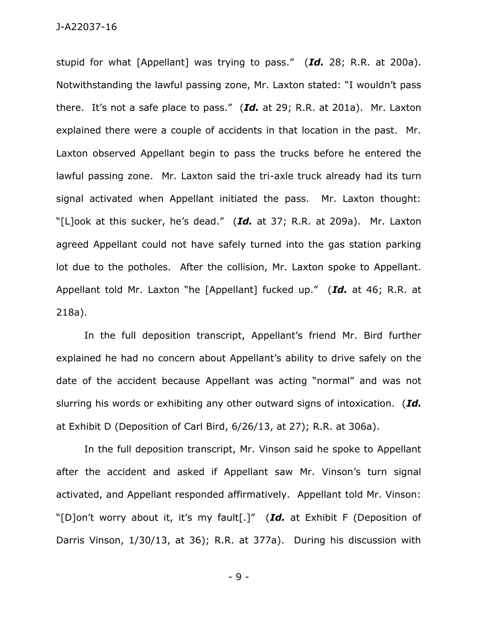stupid for what [Appellant] was trying to pass." (*Id.* 28; R.R. at 200a). Notwithstanding the lawful passing zone, Mr. Laxton stated: "I wouldn't pass there. It's not a safe place to pass." (*Id.* at 29; R.R. at 201a). Mr. Laxton explained there were a couple of accidents in that location in the past. Mr. Laxton observed Appellant begin to pass the trucks before he entered the lawful passing zone. Mr. Laxton said the tri-axle truck already had its turn signal activated when Appellant initiated the pass. Mr. Laxton thought: "[L]ook at this sucker, he's dead." (*Id.* at 37; R.R. at 209a). Mr. Laxton agreed Appellant could not have safely turned into the gas station parking lot due to the potholes. After the collision, Mr. Laxton spoke to Appellant. Appellant told Mr. Laxton "he [Appellant] fucked up." (*Id.* at 46; R.R. at 218a).

In the full deposition transcript, Appellant's friend Mr. Bird further explained he had no concern about Appellant's ability to drive safely on the date of the accident because Appellant was acting "normal" and was not slurring his words or exhibiting any other outward signs of intoxication. (*Id.* at Exhibit D (Deposition of Carl Bird, 6/26/13, at 27); R.R. at 306a).

In the full deposition transcript, Mr. Vinson said he spoke to Appellant after the accident and asked if Appellant saw Mr. Vinson's turn signal activated, and Appellant responded affirmatively. Appellant told Mr. Vinson: "[D]on't worry about it, it's my fault[.]" (*Id.* at Exhibit F (Deposition of Darris Vinson, 1/30/13, at 36); R.R. at 377a). During his discussion with

- 9 -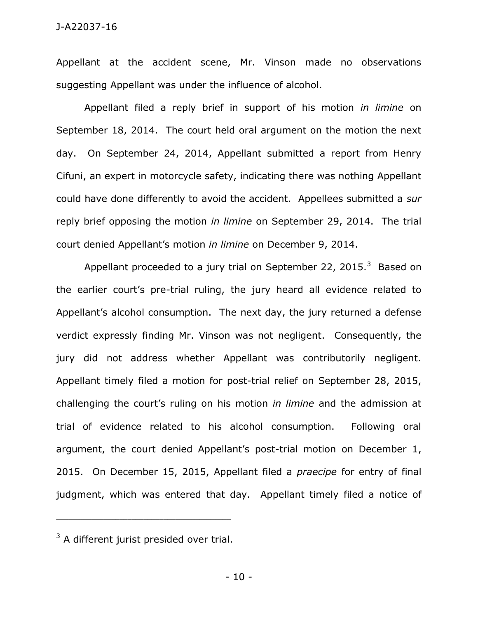## J-A22037-16

Appellant at the accident scene, Mr. Vinson made no observations suggesting Appellant was under the influence of alcohol.

Appellant filed a reply brief in support of his motion *in limine* on September 18, 2014. The court held oral argument on the motion the next day. On September 24, 2014, Appellant submitted a report from Henry Cifuni, an expert in motorcycle safety, indicating there was nothing Appellant could have done differently to avoid the accident. Appellees submitted a *sur* reply brief opposing the motion *in limine* on September 29, 2014. The trial court denied Appellant's motion *in limine* on December 9, 2014.

Appellant proceeded to a jury trial on September 22, 2015.<sup>3</sup> Based on the earlier court's pre-trial ruling, the jury heard all evidence related to Appellant's alcohol consumption. The next day, the jury returned a defense verdict expressly finding Mr. Vinson was not negligent. Consequently, the jury did not address whether Appellant was contributorily negligent. Appellant timely filed a motion for post-trial relief on September 28, 2015, challenging the court's ruling on his motion *in limine* and the admission at trial of evidence related to his alcohol consumption. Following oral argument, the court denied Appellant's post-trial motion on December 1, 2015. On December 15, 2015, Appellant filed a *praecipe* for entry of final judgment, which was entered that day. Appellant timely filed a notice of

\_\_\_\_\_\_\_\_\_\_\_\_\_\_\_\_\_\_\_\_\_\_\_\_\_\_\_\_\_\_\_\_\_\_\_\_\_\_\_\_\_\_\_\_

 $3$  A different jurist presided over trial.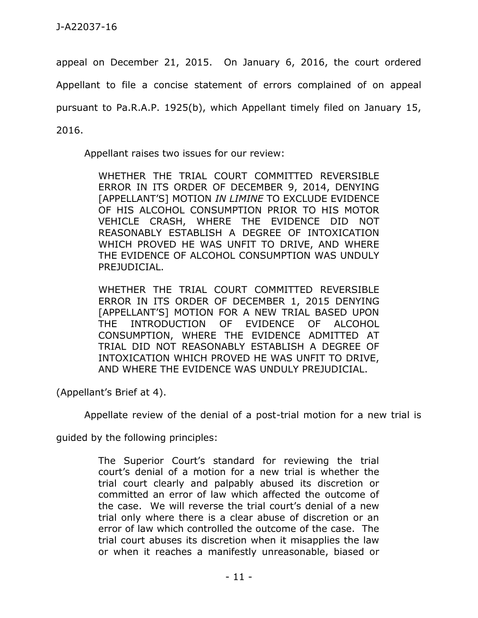appeal on December 21, 2015. On January 6, 2016, the court ordered

Appellant to file a concise statement of errors complained of on appeal

pursuant to Pa.R.A.P. 1925(b), which Appellant timely filed on January 15,

2016.

Appellant raises two issues for our review:

WHETHER THE TRIAL COURT COMMITTED REVERSIBLE ERROR IN ITS ORDER OF DECEMBER 9, 2014, DENYING [APPELLANT'S] MOTION *IN LIMINE* TO EXCLUDE EVIDENCE OF HIS ALCOHOL CONSUMPTION PRIOR TO HIS MOTOR VEHICLE CRASH, WHERE THE EVIDENCE DID NOT REASONABLY ESTABLISH A DEGREE OF INTOXICATION WHICH PROVED HE WAS UNFIT TO DRIVE, AND WHERE THE EVIDENCE OF ALCOHOL CONSUMPTION WAS UNDULY PREJUDICIAL.

WHETHER THE TRIAL COURT COMMITTED REVERSIBLE ERROR IN ITS ORDER OF DECEMBER 1, 2015 DENYING [APPELLANT'S] MOTION FOR A NEW TRIAL BASED UPON THE INTRODUCTION OF EVIDENCE OF ALCOHOL CONSUMPTION, WHERE THE EVIDENCE ADMITTED AT TRIAL DID NOT REASONABLY ESTABLISH A DEGREE OF INTOXICATION WHICH PROVED HE WAS UNFIT TO DRIVE, AND WHERE THE EVIDENCE WAS UNDULY PREJUDICIAL.

(Appellant's Brief at 4).

Appellate review of the denial of a post-trial motion for a new trial is

guided by the following principles:

The Superior Court's standard for reviewing the trial court's denial of a motion for a new trial is whether the trial court clearly and palpably abused its discretion or committed an error of law which affected the outcome of the case. We will reverse the trial court's denial of a new trial only where there is a clear abuse of discretion or an error of law which controlled the outcome of the case. The trial court abuses its discretion when it misapplies the law or when it reaches a manifestly unreasonable, biased or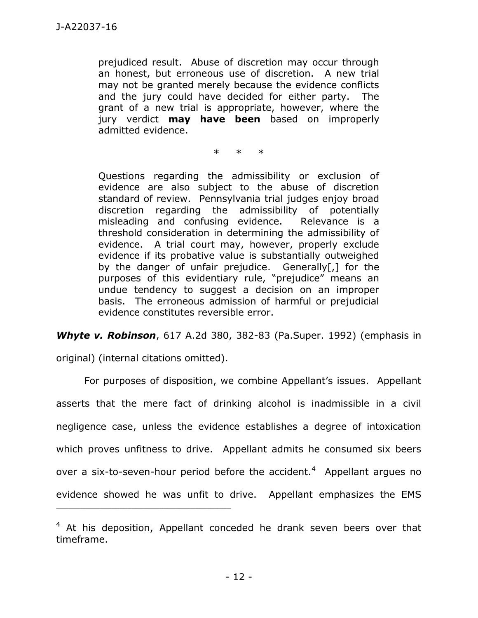prejudiced result. Abuse of discretion may occur through an honest, but erroneous use of discretion. A new trial may not be granted merely because the evidence conflicts and the jury could have decided for either party. The grant of a new trial is appropriate, however, where the jury verdict **may have been** based on improperly admitted evidence.

\* \* \*

Questions regarding the admissibility or exclusion of evidence are also subject to the abuse of discretion standard of review. Pennsylvania trial judges enjoy broad discretion regarding the admissibility of potentially misleading and confusing evidence. Relevance is a threshold consideration in determining the admissibility of evidence. A trial court may, however, properly exclude evidence if its probative value is substantially outweighed by the danger of unfair prejudice. Generally[,] for the purposes of this evidentiary rule, "prejudice" means an undue tendency to suggest a decision on an improper basis. The erroneous admission of harmful or prejudicial evidence constitutes reversible error.

*Whyte v. Robinson*, 617 A.2d 380, 382-83 (Pa.Super. 1992) (emphasis in

original) (internal citations omitted).

\_\_\_\_\_\_\_\_\_\_\_\_\_\_\_\_\_\_\_\_\_\_\_\_\_\_\_\_\_\_\_\_\_\_\_\_\_\_\_\_\_\_\_\_

For purposes of disposition, we combine Appellant's issues. Appellant asserts that the mere fact of drinking alcohol is inadmissible in a civil negligence case, unless the evidence establishes a degree of intoxication which proves unfitness to drive. Appellant admits he consumed six beers over a six-to-seven-hour period before the accident.<sup>4</sup> Appellant argues no evidence showed he was unfit to drive. Appellant emphasizes the EMS

 $4$  At his deposition, Appellant conceded he drank seven beers over that timeframe.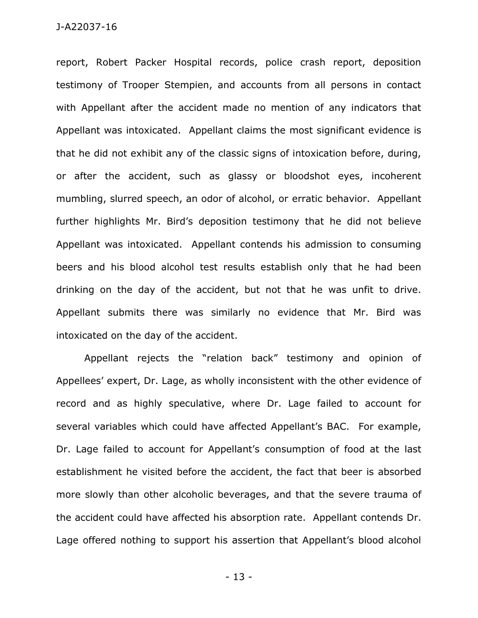report, Robert Packer Hospital records, police crash report, deposition testimony of Trooper Stempien, and accounts from all persons in contact with Appellant after the accident made no mention of any indicators that Appellant was intoxicated. Appellant claims the most significant evidence is that he did not exhibit any of the classic signs of intoxication before, during, or after the accident, such as glassy or bloodshot eyes, incoherent mumbling, slurred speech, an odor of alcohol, or erratic behavior. Appellant further highlights Mr. Bird's deposition testimony that he did not believe Appellant was intoxicated. Appellant contends his admission to consuming beers and his blood alcohol test results establish only that he had been drinking on the day of the accident, but not that he was unfit to drive. Appellant submits there was similarly no evidence that Mr. Bird was intoxicated on the day of the accident.

Appellant rejects the "relation back" testimony and opinion of Appellees' expert, Dr. Lage, as wholly inconsistent with the other evidence of record and as highly speculative, where Dr. Lage failed to account for several variables which could have affected Appellant's BAC. For example, Dr. Lage failed to account for Appellant's consumption of food at the last establishment he visited before the accident, the fact that beer is absorbed more slowly than other alcoholic beverages, and that the severe trauma of the accident could have affected his absorption rate. Appellant contends Dr. Lage offered nothing to support his assertion that Appellant's blood alcohol

- 13 -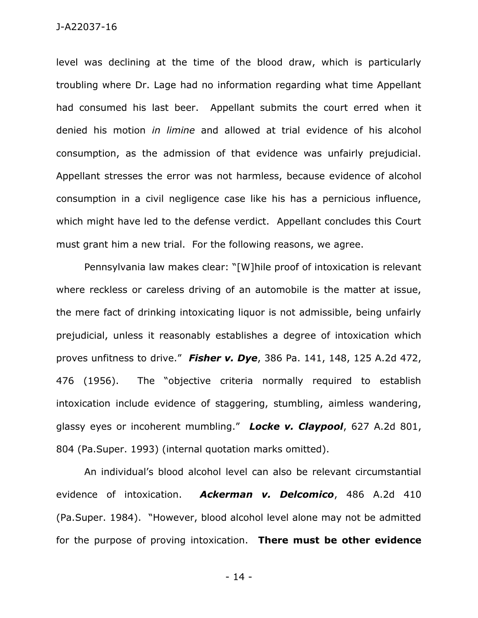level was declining at the time of the blood draw, which is particularly troubling where Dr. Lage had no information regarding what time Appellant had consumed his last beer. Appellant submits the court erred when it denied his motion *in limine* and allowed at trial evidence of his alcohol consumption, as the admission of that evidence was unfairly prejudicial. Appellant stresses the error was not harmless, because evidence of alcohol consumption in a civil negligence case like his has a pernicious influence, which might have led to the defense verdict. Appellant concludes this Court must grant him a new trial. For the following reasons, we agree.

Pennsylvania law makes clear: "[W]hile proof of intoxication is relevant where reckless or careless driving of an automobile is the matter at issue, the mere fact of drinking intoxicating liquor is not admissible, being unfairly prejudicial, unless it reasonably establishes a degree of intoxication which proves unfitness to drive." *Fisher v. Dye*, 386 Pa. 141, 148, 125 A.2d 472, 476 (1956). The "objective criteria normally required to establish intoxication include evidence of staggering, stumbling, aimless wandering, glassy eyes or incoherent mumbling." *Locke v. Claypool*, 627 A.2d 801, 804 (Pa.Super. 1993) (internal quotation marks omitted).

An individual's blood alcohol level can also be relevant circumstantial evidence of intoxication. *Ackerman v. Delcomico*, 486 A.2d 410 (Pa.Super. 1984). "However, blood alcohol level alone may not be admitted for the purpose of proving intoxication. **There must be other evidence** 

- 14 -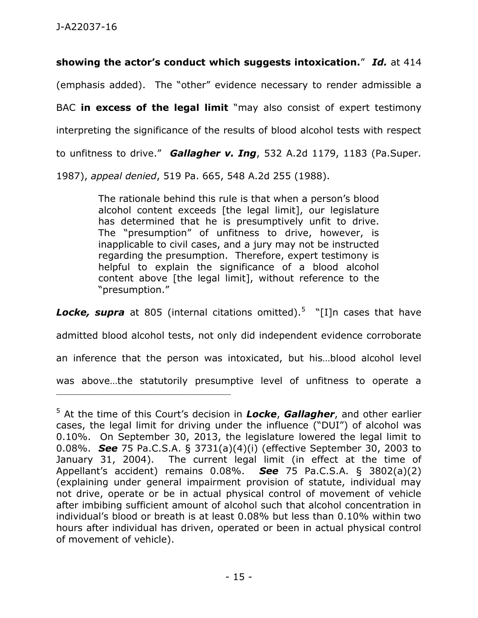**showing the actor's conduct which suggests intoxication.**" *Id.* at 414 (emphasis added). The "other" evidence necessary to render admissible a BAC **in excess of the legal limit** "may also consist of expert testimony interpreting the significance of the results of blood alcohol tests with respect to unfitness to drive." *Gallagher v. Ing*, 532 A.2d 1179, 1183 (Pa.Super. 1987), *appeal denied*, 519 Pa. 665, 548 A.2d 255 (1988).

> The rationale behind this rule is that when a person's blood alcohol content exceeds [the legal limit], our legislature has determined that he is presumptively unfit to drive. The "presumption" of unfitness to drive, however, is inapplicable to civil cases, and a jury may not be instructed regarding the presumption. Therefore, expert testimony is helpful to explain the significance of a blood alcohol content above [the legal limit], without reference to the "presumption."

Locke, supra at 805 (internal citations omitted).<sup>5</sup> "[I]n cases that have

admitted blood alcohol tests, not only did independent evidence corroborate

an inference that the person was intoxicated, but his…blood alcohol level

was above…the statutorily presumptive level of unfitness to operate a

\_\_\_\_\_\_\_\_\_\_\_\_\_\_\_\_\_\_\_\_\_\_\_\_\_\_\_\_\_\_\_\_\_\_\_\_\_\_\_\_\_\_\_\_

<sup>5</sup> At the time of this Court's decision in *Locke*, *Gallagher*, and other earlier cases, the legal limit for driving under the influence ("DUI") of alcohol was 0.10%. On September 30, 2013, the legislature lowered the legal limit to 0.08%. *See* 75 Pa.C.S.A. § 3731(a)(4)(i) (effective September 30, 2003 to January 31, 2004). The current legal limit (in effect at the time of Appellant's accident) remains 0.08%. *See* 75 Pa.C.S.A. § 3802(a)(2) (explaining under general impairment provision of statute, individual may not drive, operate or be in actual physical control of movement of vehicle after imbibing sufficient amount of alcohol such that alcohol concentration in individual's blood or breath is at least 0.08% but less than 0.10% within two hours after individual has driven, operated or been in actual physical control of movement of vehicle).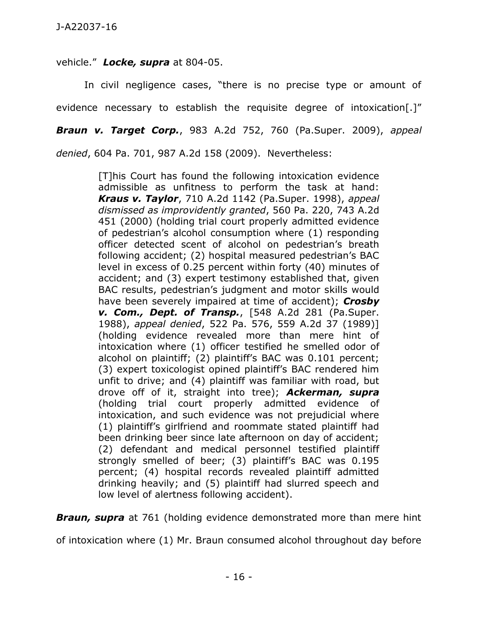vehicle." *Locke, supra* at 804-05.

In civil negligence cases, "there is no precise type or amount of evidence necessary to establish the requisite degree of intoxication[.]"

*Braun v. Target Corp.*, 983 A.2d 752, 760 (Pa.Super. 2009), *appeal* 

*denied*, 604 Pa. 701, 987 A.2d 158 (2009). Nevertheless:

[T]his Court has found the following intoxication evidence admissible as unfitness to perform the task at hand: *Kraus v. Taylor*, 710 A.2d 1142 (Pa.Super. 1998), *appeal dismissed as improvidently granted*, 560 Pa. 220, 743 A.2d 451 (2000) (holding trial court properly admitted evidence of pedestrian's alcohol consumption where (1) responding officer detected scent of alcohol on pedestrian's breath following accident; (2) hospital measured pedestrian's BAC level in excess of 0.25 percent within forty (40) minutes of accident; and (3) expert testimony established that, given BAC results, pedestrian's judgment and motor skills would have been severely impaired at time of accident); *Crosby v. Com., Dept. of Transp.*, [548 A.2d 281 (Pa.Super. 1988), *appeal denied*, 522 Pa. 576, 559 A.2d 37 (1989)] (holding evidence revealed more than mere hint of intoxication where (1) officer testified he smelled odor of alcohol on plaintiff; (2) plaintiff's BAC was 0.101 percent; (3) expert toxicologist opined plaintiff's BAC rendered him unfit to drive; and (4) plaintiff was familiar with road, but drove off of it, straight into tree); *Ackerman, supra* (holding trial court properly admitted evidence of intoxication, and such evidence was not prejudicial where (1) plaintiff's girlfriend and roommate stated plaintiff had been drinking beer since late afternoon on day of accident; (2) defendant and medical personnel testified plaintiff strongly smelled of beer; (3) plaintiff's BAC was 0.195 percent; (4) hospital records revealed plaintiff admitted drinking heavily; and (5) plaintiff had slurred speech and low level of alertness following accident).

**Braun, supra** at 761 (holding evidence demonstrated more than mere hint

of intoxication where (1) Mr. Braun consumed alcohol throughout day before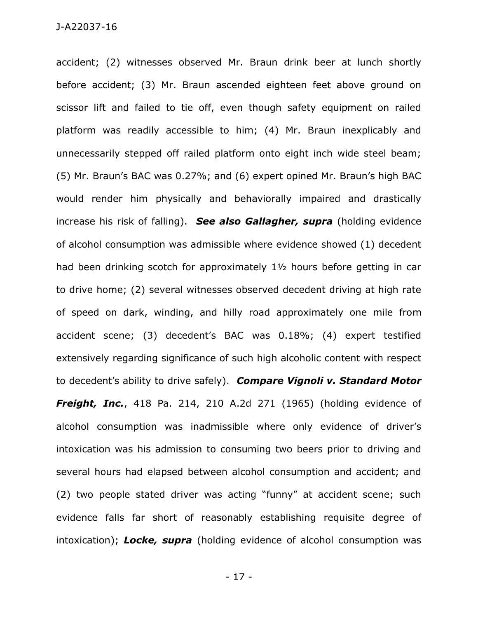accident; (2) witnesses observed Mr. Braun drink beer at lunch shortly before accident; (3) Mr. Braun ascended eighteen feet above ground on scissor lift and failed to tie off, even though safety equipment on railed platform was readily accessible to him; (4) Mr. Braun inexplicably and unnecessarily stepped off railed platform onto eight inch wide steel beam; (5) Mr. Braun's BAC was 0.27%; and (6) expert opined Mr. Braun's high BAC would render him physically and behaviorally impaired and drastically increase his risk of falling). *See also Gallagher, supra* (holding evidence of alcohol consumption was admissible where evidence showed (1) decedent had been drinking scotch for approximately 1½ hours before getting in car to drive home; (2) several witnesses observed decedent driving at high rate of speed on dark, winding, and hilly road approximately one mile from accident scene; (3) decedent's BAC was 0.18%; (4) expert testified extensively regarding significance of such high alcoholic content with respect to decedent's ability to drive safely). *Compare Vignoli v. Standard Motor Freight, Inc.*, 418 Pa. 214, 210 A.2d 271 (1965) (holding evidence of alcohol consumption was inadmissible where only evidence of driver's intoxication was his admission to consuming two beers prior to driving and several hours had elapsed between alcohol consumption and accident; and (2) two people stated driver was acting "funny" at accident scene; such evidence falls far short of reasonably establishing requisite degree of intoxication); *Locke, supra* (holding evidence of alcohol consumption was

- 17 -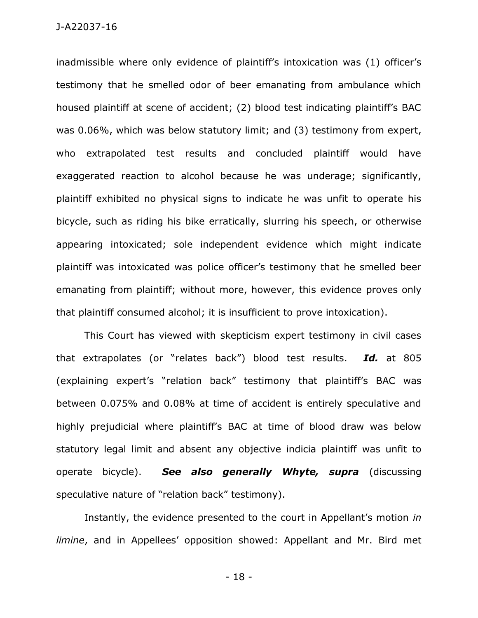inadmissible where only evidence of plaintiff's intoxication was (1) officer's testimony that he smelled odor of beer emanating from ambulance which housed plaintiff at scene of accident; (2) blood test indicating plaintiff's BAC was 0.06%, which was below statutory limit; and (3) testimony from expert, who extrapolated test results and concluded plaintiff would have exaggerated reaction to alcohol because he was underage; significantly, plaintiff exhibited no physical signs to indicate he was unfit to operate his bicycle, such as riding his bike erratically, slurring his speech, or otherwise appearing intoxicated; sole independent evidence which might indicate plaintiff was intoxicated was police officer's testimony that he smelled beer emanating from plaintiff; without more, however, this evidence proves only that plaintiff consumed alcohol; it is insufficient to prove intoxication).

This Court has viewed with skepticism expert testimony in civil cases that extrapolates (or "relates back") blood test results. *Id.* at 805 (explaining expert's "relation back" testimony that plaintiff's BAC was between 0.075% and 0.08% at time of accident is entirely speculative and highly prejudicial where plaintiff's BAC at time of blood draw was below statutory legal limit and absent any objective indicia plaintiff was unfit to operate bicycle). *See also generally Whyte, supra* (discussing speculative nature of "relation back" testimony).

Instantly, the evidence presented to the court in Appellant's motion *in limine*, and in Appellees' opposition showed: Appellant and Mr. Bird met

- 18 -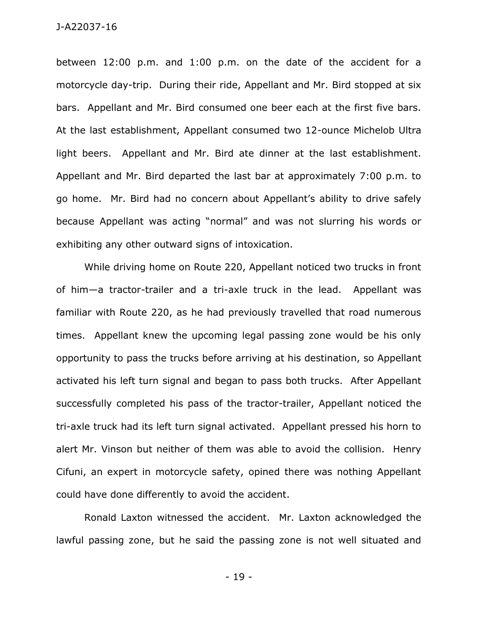between 12:00 p.m. and 1:00 p.m. on the date of the accident for a motorcycle day-trip. During their ride, Appellant and Mr. Bird stopped at six bars. Appellant and Mr. Bird consumed one beer each at the first five bars. At the last establishment, Appellant consumed two 12-ounce Michelob Ultra light beers. Appellant and Mr. Bird ate dinner at the last establishment. Appellant and Mr. Bird departed the last bar at approximately 7:00 p.m. to go home. Mr. Bird had no concern about Appellant's ability to drive safely because Appellant was acting "normal" and was not slurring his words or exhibiting any other outward signs of intoxication.

While driving home on Route 220, Appellant noticed two trucks in front of him—a tractor-trailer and a tri-axle truck in the lead. Appellant was familiar with Route 220, as he had previously travelled that road numerous times. Appellant knew the upcoming legal passing zone would be his only opportunity to pass the trucks before arriving at his destination, so Appellant activated his left turn signal and began to pass both trucks. After Appellant successfully completed his pass of the tractor-trailer, Appellant noticed the tri-axle truck had its left turn signal activated. Appellant pressed his horn to alert Mr. Vinson but neither of them was able to avoid the collision. Henry Cifuni, an expert in motorcycle safety, opined there was nothing Appellant could have done differently to avoid the accident.

Ronald Laxton witnessed the accident. Mr. Laxton acknowledged the lawful passing zone, but he said the passing zone is not well situated and

- 19 -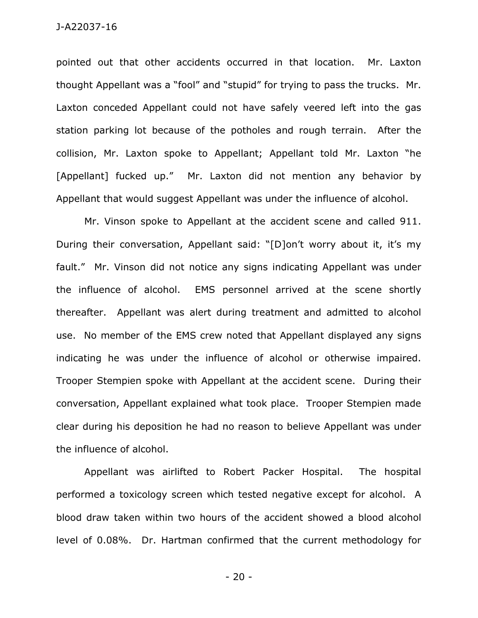pointed out that other accidents occurred in that location. Mr. Laxton thought Appellant was a "fool" and "stupid" for trying to pass the trucks. Mr. Laxton conceded Appellant could not have safely veered left into the gas station parking lot because of the potholes and rough terrain. After the collision, Mr. Laxton spoke to Appellant; Appellant told Mr. Laxton "he [Appellant] fucked up." Mr. Laxton did not mention any behavior by Appellant that would suggest Appellant was under the influence of alcohol.

Mr. Vinson spoke to Appellant at the accident scene and called 911. During their conversation, Appellant said: "[D]on't worry about it, it's my fault." Mr. Vinson did not notice any signs indicating Appellant was under the influence of alcohol. EMS personnel arrived at the scene shortly thereafter. Appellant was alert during treatment and admitted to alcohol use. No member of the EMS crew noted that Appellant displayed any signs indicating he was under the influence of alcohol or otherwise impaired. Trooper Stempien spoke with Appellant at the accident scene. During their conversation, Appellant explained what took place. Trooper Stempien made clear during his deposition he had no reason to believe Appellant was under the influence of alcohol.

Appellant was airlifted to Robert Packer Hospital. The hospital performed a toxicology screen which tested negative except for alcohol. A blood draw taken within two hours of the accident showed a blood alcohol level of 0.08%. Dr. Hartman confirmed that the current methodology for

- 20 -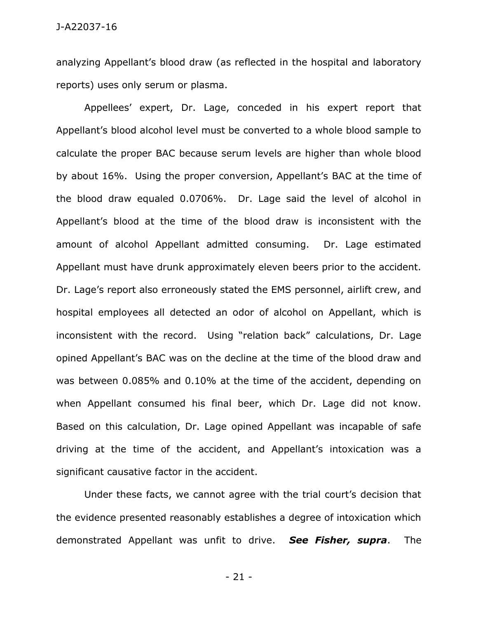analyzing Appellant's blood draw (as reflected in the hospital and laboratory reports) uses only serum or plasma.

Appellees' expert, Dr. Lage, conceded in his expert report that Appellant's blood alcohol level must be converted to a whole blood sample to calculate the proper BAC because serum levels are higher than whole blood by about 16%. Using the proper conversion, Appellant's BAC at the time of the blood draw equaled 0.0706%. Dr. Lage said the level of alcohol in Appellant's blood at the time of the blood draw is inconsistent with the amount of alcohol Appellant admitted consuming. Dr. Lage estimated Appellant must have drunk approximately eleven beers prior to the accident. Dr. Lage's report also erroneously stated the EMS personnel, airlift crew, and hospital employees all detected an odor of alcohol on Appellant, which is inconsistent with the record. Using "relation back" calculations, Dr. Lage opined Appellant's BAC was on the decline at the time of the blood draw and was between 0.085% and 0.10% at the time of the accident, depending on when Appellant consumed his final beer, which Dr. Lage did not know. Based on this calculation, Dr. Lage opined Appellant was incapable of safe driving at the time of the accident, and Appellant's intoxication was a significant causative factor in the accident.

Under these facts, we cannot agree with the trial court's decision that the evidence presented reasonably establishes a degree of intoxication which demonstrated Appellant was unfit to drive. *See Fisher, supra*. The

- 21 -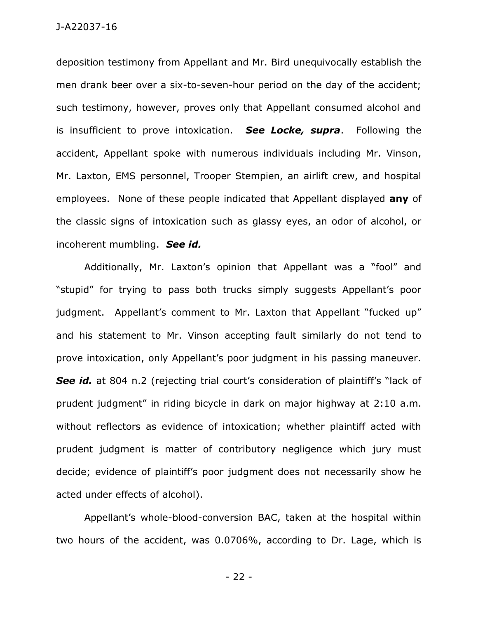deposition testimony from Appellant and Mr. Bird unequivocally establish the men drank beer over a six-to-seven-hour period on the day of the accident; such testimony, however, proves only that Appellant consumed alcohol and is insufficient to prove intoxication. *See Locke, supra*. Following the accident, Appellant spoke with numerous individuals including Mr. Vinson, Mr. Laxton, EMS personnel, Trooper Stempien, an airlift crew, and hospital employees. None of these people indicated that Appellant displayed **any** of the classic signs of intoxication such as glassy eyes, an odor of alcohol, or incoherent mumbling. *See id.*

Additionally, Mr. Laxton's opinion that Appellant was a "fool" and "stupid" for trying to pass both trucks simply suggests Appellant's poor judgment. Appellant's comment to Mr. Laxton that Appellant "fucked up" and his statement to Mr. Vinson accepting fault similarly do not tend to prove intoxication, only Appellant's poor judgment in his passing maneuver. **See id.** at 804 n.2 (rejecting trial court's consideration of plaintiff's "lack of prudent judgment" in riding bicycle in dark on major highway at 2:10 a.m. without reflectors as evidence of intoxication; whether plaintiff acted with prudent judgment is matter of contributory negligence which jury must decide; evidence of plaintiff's poor judgment does not necessarily show he acted under effects of alcohol).

Appellant's whole-blood-conversion BAC, taken at the hospital within two hours of the accident, was 0.0706%, according to Dr. Lage, which is

- 22 -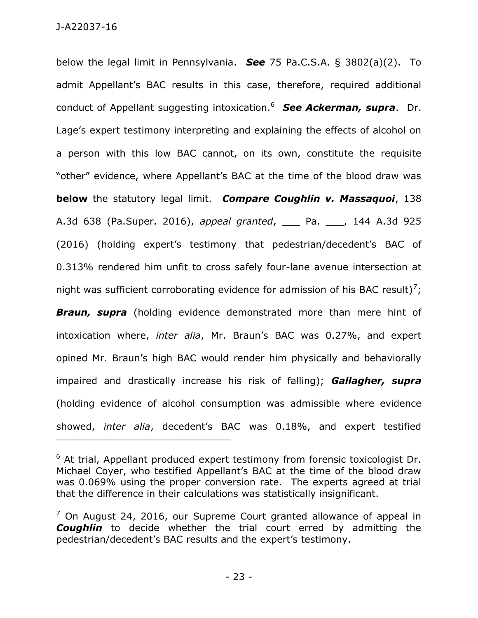below the legal limit in Pennsylvania. *See* 75 Pa.C.S.A. § 3802(a)(2). To admit Appellant's BAC results in this case, therefore, required additional conduct of Appellant suggesting intoxication.<sup>6</sup> *See Ackerman, supra*. Dr. Lage's expert testimony interpreting and explaining the effects of alcohol on a person with this low BAC cannot, on its own, constitute the requisite "other" evidence, where Appellant's BAC at the time of the blood draw was **below** the statutory legal limit. *Compare Coughlin v. Massaquoi*, 138 A.3d 638 (Pa.Super. 2016), *appeal granted*, \_\_\_ Pa. \_\_\_, 144 A.3d 925 (2016) (holding expert's testimony that pedestrian/decedent's BAC of 0.313% rendered him unfit to cross safely four-lane avenue intersection at night was sufficient corroborating evidence for admission of his BAC result)<sup>7</sup>;

**Braun, supra** (holding evidence demonstrated more than mere hint of intoxication where, *inter alia*, Mr. Braun's BAC was 0.27%, and expert opined Mr. Braun's high BAC would render him physically and behaviorally impaired and drastically increase his risk of falling); *Gallagher, supra* (holding evidence of alcohol consumption was admissible where evidence showed, *inter alia*, decedent's BAC was 0.18%, and expert testified

\_\_\_\_\_\_\_\_\_\_\_\_\_\_\_\_\_\_\_\_\_\_\_\_\_\_\_\_\_\_\_\_\_\_\_\_\_\_\_\_\_\_\_\_

 $6$  At trial, Appellant produced expert testimony from forensic toxicologist Dr. Michael Coyer, who testified Appellant's BAC at the time of the blood draw was 0.069% using the proper conversion rate. The experts agreed at trial that the difference in their calculations was statistically insignificant.

 $<sup>7</sup>$  On August 24, 2016, our Supreme Court granted allowance of appeal in</sup> *Coughlin* to decide whether the trial court erred by admitting the pedestrian/decedent's BAC results and the expert's testimony.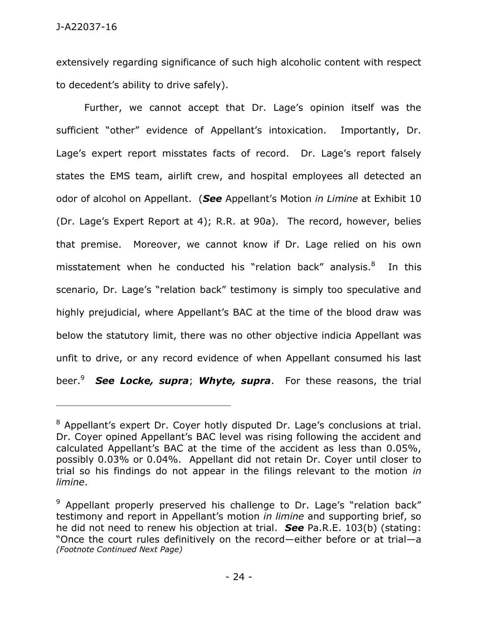extensively regarding significance of such high alcoholic content with respect to decedent's ability to drive safely).

Further, we cannot accept that Dr. Lage's opinion itself was the sufficient "other" evidence of Appellant's intoxication. Importantly, Dr. Lage's expert report misstates facts of record. Dr. Lage's report falsely states the EMS team, airlift crew, and hospital employees all detected an odor of alcohol on Appellant. (*See* Appellant's Motion *in Limine* at Exhibit 10 (Dr. Lage's Expert Report at 4); R.R. at 90a). The record, however, belies that premise. Moreover, we cannot know if Dr. Lage relied on his own misstatement when he conducted his "relation back" analysis.<sup>8</sup> In this scenario, Dr. Lage's "relation back" testimony is simply too speculative and highly prejudicial, where Appellant's BAC at the time of the blood draw was below the statutory limit, there was no other objective indicia Appellant was unfit to drive, or any record evidence of when Appellant consumed his last beer.<sup>9</sup> See Locke, supra; Whyte, supra. For these reasons, the trial

<sup>8</sup> Appellant's expert Dr. Coyer hotly disputed Dr. Lage's conclusions at trial. Dr. Coyer opined Appellant's BAC level was rising following the accident and calculated Appellant's BAC at the time of the accident as less than 0.05%, possibly 0.03% or 0.04%. Appellant did not retain Dr. Coyer until closer to trial so his findings do not appear in the filings relevant to the motion *in limine*.

<sup>&</sup>lt;sup>9</sup> Appellant properly preserved his challenge to Dr. Lage's "relation back" testimony and report in Appellant's motion *in limine* and supporting brief, so he did not need to renew his objection at trial. *See* Pa.R.E. 103(b) (stating: "Once the court rules definitively on the record—either before or at trial—a *(Footnote Continued Next Page)*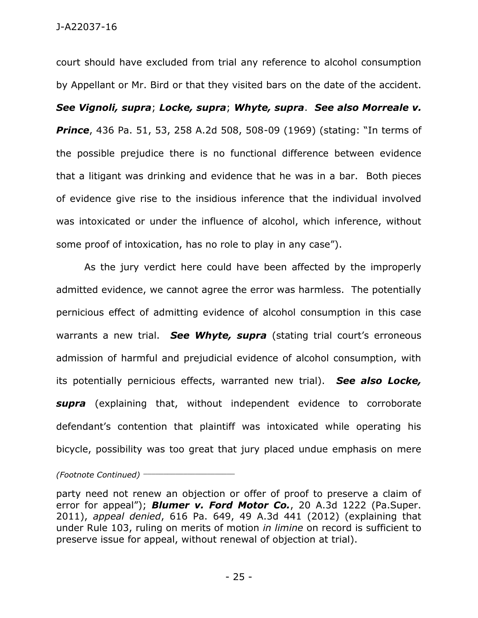court should have excluded from trial any reference to alcohol consumption by Appellant or Mr. Bird or that they visited bars on the date of the accident. *See Vignoli, supra*; *Locke, supra*; *Whyte, supra*. *See also Morreale v. Prince*, 436 Pa. 51, 53, 258 A.2d 508, 508-09 (1969) (stating: "In terms of the possible prejudice there is no functional difference between evidence that a litigant was drinking and evidence that he was in a bar. Both pieces of evidence give rise to the insidious inference that the individual involved was intoxicated or under the influence of alcohol, which inference, without some proof of intoxication, has no role to play in any case").

As the jury verdict here could have been affected by the improperly admitted evidence, we cannot agree the error was harmless. The potentially pernicious effect of admitting evidence of alcohol consumption in this case warrants a new trial. *See Whyte, supra* (stating trial court's erroneous admission of harmful and prejudicial evidence of alcohol consumption, with its potentially pernicious effects, warranted new trial). *See also Locke, supra* (explaining that, without independent evidence to corroborate defendant's contention that plaintiff was intoxicated while operating his bicycle, possibility was too great that jury placed undue emphasis on mere

*(Footnote Continued)* \_\_\_\_\_\_\_\_\_\_\_\_\_\_\_\_\_\_\_\_\_\_\_

party need not renew an objection or offer of proof to preserve a claim of error for appeal"); *Blumer v. Ford Motor Co.*, 20 A.3d 1222 (Pa.Super. 2011), *appeal denied*, 616 Pa. 649, 49 A.3d 441 (2012) (explaining that under Rule 103, ruling on merits of motion *in limine* on record is sufficient to preserve issue for appeal, without renewal of objection at trial).